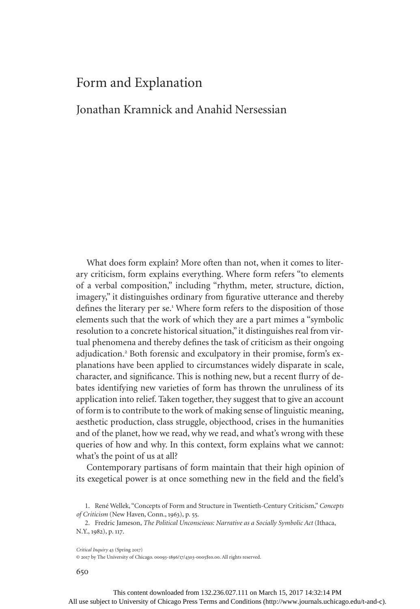# Form and Explanation

## Jonathan Kramnick and Anahid Nersessian

What does form explain? More often than not, when it comes to literary criticism, form explains everything. Where form refers "to elements of a verbal composition," including "rhythm, meter, structure, diction, imagery," it distinguishes ordinary from figurative utterance and thereby defines the literary per se.<sup>1</sup> Where form refers to the disposition of those elements such that the work of which they are a part mimes a "symbolic resolution to a concrete historical situation," it distinguishes real from virtual phenomena and thereby defines the task of criticism as their ongoing adjudication.<sup>2</sup> Both forensic and exculpatory in their promise, form's explanations have been applied to circumstances widely disparate in scale, character, and significance. This is nothing new, but a recent flurry of debates identifying new varieties of form has thrown the unruliness of its application into relief. Taken together, they suggest that to give an account of form is to contribute to the work of making sense of linguistic meaning, aesthetic production, class struggle, objecthood, crises in the humanities and of the planet, how we read, why we read, and what's wrong with these queries of how and why. In this context, form explains what we cannot: what's the point of us at all?

Contemporary partisans of form maintain that their high opinion of its exegetical power is at once something new in the field and the field's

© 2017 by The University of Chicago. 00093-1896/17/4303-0005\$10.00. All rights reserved.

#### 650

<sup>1.</sup> René Wellek, "Concepts of Form and Structure in Twentieth-Century Criticism," *Concepts of Criticism* (New Haven, Conn., 1963), p. 55.

<sup>2.</sup> Fredric Jameson, *The Political Unconscious: Narrative as a Socially Symbolic Act* (Ithaca, N.Y., 1982), p. 117.

*Critical Inquiry* 43 (Spring 2017)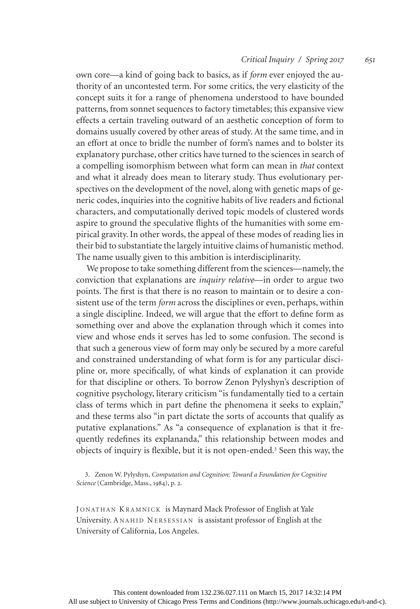## *Critical Inquiry / Spring 2017 651*

own core—a kind of going back to basics, as if *form* ever enjoyed the authority of an uncontested term. For some critics, the very elasticity of the concept suits it for a range of phenomena understood to have bounded patterns, from sonnet sequences to factory timetables; this expansive view effects a certain traveling outward of an aesthetic conception of form to domains usually covered by other areas of study. At the same time, and in an effort at once to bridle the number of form's names and to bolster its explanatory purchase, other critics have turned to the sciences in search of a compelling isomorphism between what form can mean in *that* context and what it already does mean to literary study. Thus evolutionary perspectives on the development of the novel, along with genetic maps of generic codes, inquiries into the cognitive habits of live readers and fictional characters, and computationally derived topic models of clustered words aspire to ground the speculative flights of the humanities with some empirical gravity. In other words, the appeal of these modes of reading lies in their bid to substantiate the largely intuitive claims of humanistic method. The name usually given to this ambition is interdisciplinarity.

We propose to take something different from the sciences—namely, the conviction that explanations are *inquiry relative*—in order to argue two points. The first is that there is no reason to maintain or to desire a consistent use of the term *form* across the disciplines or even, perhaps, within a single discipline. Indeed, we will argue that the effort to define form as something over and above the explanation through which it comes into view and whose ends it serves has led to some confusion. The second is that such a generous view of form may only be secured by a more careful and constrained understanding of what form is for any particular discipline or, more specifically, of what kinds of explanation it can provide for that discipline or others. To borrow Zenon Pylyshyn's description of cognitive psychology, literary criticism "is fundamentally tied to a certain class of terms which in part define the phenomena it seeks to explain," and these terms also "in part dictate the sorts of accounts that qualify as putative explanations." As "a consequence of explanation is that it frequently redefines its explananda," this relationship between modes and objects of inquiry is flexible, but it is not open-ended.<sup>3</sup> Seen this way, the

3. Zenon W. Pylyshyn, *Computation and Cognition: Toward a Foundation for Cognitive Science* (Cambridge, Mass., 1984), p. 2.

JONATHAN KRAMNICK is Maynard Mack Professor of English at Yale University. ANAHID NERSESSIAN is assistant professor of English at the University of California, Los Angeles.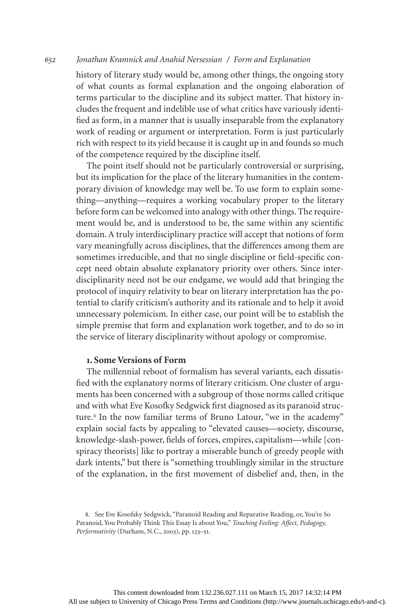history of literary study would be, among other things, the ongoing story of what counts as formal explanation and the ongoing elaboration of terms particular to the discipline and its subject matter. That history includes the frequent and indelible use of what critics have variously identified as form, in a manner that is usually inseparable from the explanatory work of reading or argument or interpretation. Form is just particularly rich with respect to its yield because it is caught up in and founds so much of the competence required by the discipline itself.

The point itself should not be particularly controversial or surprising, but its implication for the place of the literary humanities in the contemporary division of knowledge may well be. To use form to explain something—anything—requires a working vocabulary proper to the literary before form can be welcomed into analogy with other things. The requirement would be, and is understood to be, the same within any scientific domain. A truly interdisciplinary practice will accept that notions of form vary meaningfully across disciplines, that the differences among them are sometimes irreducible, and that no single discipline or field-specific concept need obtain absolute explanatory priority over others. Since interdisciplinarity need not be our endgame, we would add that bringing the protocol of inquiry relativity to bear on literary interpretation has the potential to clarify criticism's authority and its rationale and to help it avoid unnecessary polemicism. In either case, our point will be to establish the simple premise that form and explanation work together, and to do so in the service of literary disciplinarity without apology or compromise.

## **1. Some Versions of Form**

The millennial reboot of formalism has several variants, each dissatisfied with the explanatory norms of literary criticism. One cluster of arguments has been concerned with a subgroup of those norms called critique and with what Eve Kosofky Sedgwick first diagnosed as its paranoid structure.<sup>4</sup> In the now familiar terms of Bruno Latour, "we in the academy" explain social facts by appealing to "elevated causes—society, discourse, knowledge-slash-power, fields of forces, empires, capitalism—while [conspiracy theorists] like to portray a miserable bunch of greedy people with dark intents," but there is "something troublingly similar in the structure of the explanation, in the first movement of disbelief and, then, in the

<sup>4.</sup> See Eve Kosofsky Sedgwick, "Paranoid Reading and Reparative Reading, or, You're So Paranoid, You Probably Think This Essay Is about You," *Touching Feeling: Affect, Pedagogy, Performativity* (Durham, N.C., 2003), pp. 123–51.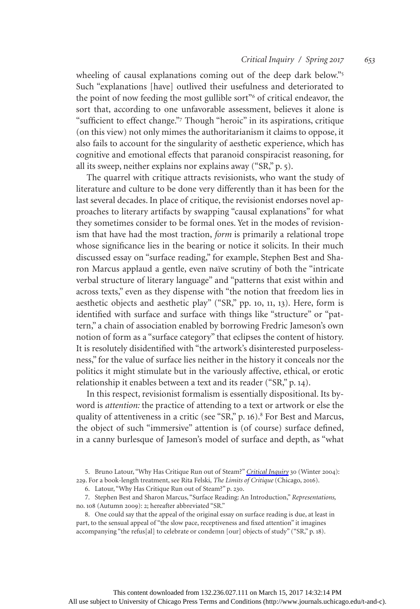wheeling of causal explanations coming out of the deep dark below."<sup>5</sup> Such "explanations [have] outlived their usefulness and deteriorated to the point of now feeding the most gullible sort"<sup>6</sup> of critical endeavor, the sort that, according to one unfavorable assessment, believes it alone is "sufficient to effect change."7 Though "heroic" in its aspirations, critique (on this view) not only mimes the authoritarianism it claims to oppose, it also fails to account for the singularity of aesthetic experience, which has cognitive and emotional effects that paranoid conspiracist reasoning, for all its sweep, neither explains nor explains away ("SR," p. 5).

The quarrel with critique attracts revisionists, who want the study of literature and culture to be done very differently than it has been for the last several decades. In place of critique, the revisionist endorses novel approaches to literary artifacts by swapping "causal explanations" for what they sometimes consider to be formal ones. Yet in the modes of revisionism that have had the most traction, *form* is primarily a relational trope whose significance lies in the bearing or notice it solicits. In their much discussed essay on "surface reading," for example, Stephen Best and Sharon Marcus applaud a gentle, even naïve scrutiny of both the "intricate verbal structure of literary language" and "patterns that exist within and across texts," even as they dispense with "the notion that freedom lies in aesthetic objects and aesthetic play" ("SR," pp. 10, 11, 13). Here, form is identified with surface and surface with things like "structure" or "pattern," a chain of association enabled by borrowing Fredric Jameson's own notion of form as a "surface category" that eclipses the content of history. It is resolutely disidentified with "the artwork's disinterested purposelessness," for the value of surface lies neither in the history it conceals nor the politics it might stimulate but in the variously affective, ethical, or erotic relationship it enables between a text and its reader ("SR," p. 14).

In this respect, revisionist formalism is essentially dispositional. Its byword is *attention:* the practice of attending to a text or artwork or else the quality of attentiveness in a critic (see "SR," p. 16).<sup>8</sup> For Best and Marcus, the object of such "immersive" attention is (of course) surface defined, in a canny burlesque of Jameson's model of surface and depth, as "what

<sup>5.</sup> Bruno Latour, "Why Has Critique Run out of Steam?" *[Critical Inquiry](http://www.journals.uchicago.edu/action/showLinks?system=10.1086%2F421123)* 30 (Winter 2004):

<sup>229</sup>. For a book-length treatment, see Rita Felski, *The Limits of Critique* (Chicago, 2016).

<sup>6.</sup> Latour, "Why Has Critique Run out of Steam?" p. 230.

<sup>7.</sup> Stephen Best and Sharon Marcus, "Surface Reading: An Introduction," *Representations,* no. 108 (Autumn 2009): 2; hereafter abbreviated "SR."

<sup>8.</sup> One could say that the appeal of the original essay on surface reading is due, at least in part, to the sensual appeal of "the slow pace, receptiveness and fixed attention" it imagines accompanying "the refus[al] to celebrate or condemn [our] objects of study" ("SR," p. 18).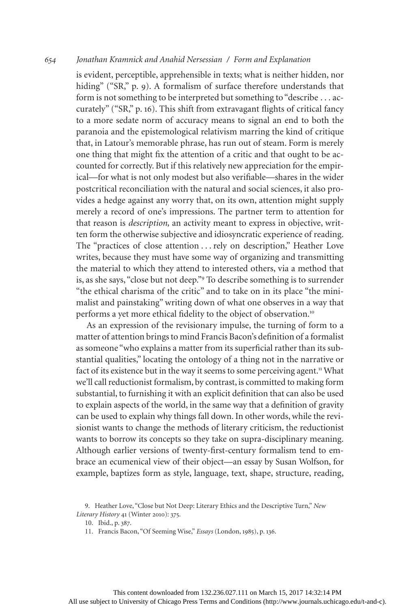is evident, perceptible, apprehensible in texts; what is neither hidden, nor hiding" ("SR," p. 9). A formalism of surface therefore understands that form is not something to be interpreted but something to "describe . . . accurately" ("SR," p. 16). This shift from extravagant flights of critical fancy to a more sedate norm of accuracy means to signal an end to both the paranoia and the epistemological relativism marring the kind of critique that, in Latour's memorable phrase, has run out of steam. Form is merely one thing that might fix the attention of a critic and that ought to be accounted for correctly. But if this relatively new appreciation for the empirical—for what is not only modest but also verifiable—shares in the wider postcritical reconciliation with the natural and social sciences, it also provides a hedge against any worry that, on its own, attention might supply merely a record of one's impressions. The partner term to attention for that reason is *description,* an activity meant to express in objective, written form the otherwise subjective and idiosyncratic experience of reading. The "practices of close attention . . . rely on description," Heather Love writes, because they must have some way of organizing and transmitting the material to which they attend to interested others, via a method that is, as she says, "close but not deep."<sup>9</sup> To describe something is to surrender "the ethical charisma of the critic" and to take on in its place "the minimalist and painstaking" writing down of what one observes in a way that performs a yet more ethical fidelity to the object of observation.<sup>10</sup>

As an expression of the revisionary impulse, the turning of form to a matter of attention brings to mind Francis Bacon's definition of a formalist as someone "who explains a matter from its superficial rather than its substantial qualities," locating the ontology of a thing not in the narrative or fact of its existence but in the way it seems to some perceiving agent.<sup>11</sup> What we'll call reductionist formalism, by contrast, is committed to making form substantial, to furnishing it with an explicit definition that can also be used to explain aspects of the world, in the same way that a definition of gravity can be used to explain why things fall down. In other words, while the revisionist wants to change the methods of literary criticism, the reductionist wants to borrow its concepts so they take on supra-disciplinary meaning. Although earlier versions of twenty-first-century formalism tend to embrace an ecumenical view of their object—an essay by Susan Wolfson, for example, baptizes form as style, language, text, shape, structure, reading,

<sup>9.</sup> Heather Love, "Close but Not Deep: Literary Ethics and the Descriptive Turn," *New Literary History* 41 (Winter 2010): 375.

<sup>10.</sup> Ibid., p. 387.

<sup>11.</sup> Francis Bacon, "Of Seeming Wise," *Essays* (London, 1985), p. 136.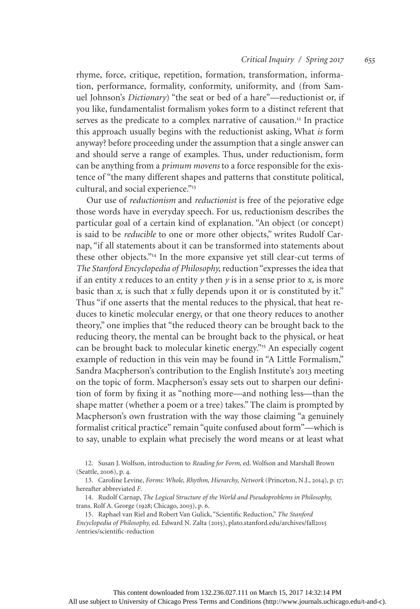rhyme, force, critique, repetition, formation, transformation, information, performance, formality, conformity, uniformity, and (from Samuel Johnson's *Dictionary*) "the seat or bed of a hare"—reductionist or, if you like, fundamentalist formalism yokes form to a distinct referent that serves as the predicate to a complex narrative of causation.<sup>12</sup> In practice this approach usually begins with the reductionist asking, What *is* form anyway? before proceeding under the assumption that a single answer can and should serve a range of examples. Thus, under reductionism, form can be anything from a *primum movens* to a force responsible for the existence of "the many different shapes and patterns that constitute political, cultural, and social experience."<sup>13</sup>

Our use of *reductionism* and *reductionist* is free of the pejorative edge those words have in everyday speech. For us, reductionism describes the particular goal of a certain kind of explanation. "An object (or concept) is said to be *reducible* to one or more other objects," writes Rudolf Carnap, "if all statements about it can be transformed into statements about these other objects."<sup>14</sup> In the more expansive yet still clear-cut terms of *The Stanford Encyclopedia of Philosophy,* reduction "expresses the idea that if an entity *x* reduces to an entity  $\gamma$  then  $\gamma$  is in a sense prior to  $x$ , is more basic than *x,* is such that *x* fully depends upon it or is constituted by it." Thus "if one asserts that the mental reduces to the physical, that heat reduces to kinetic molecular energy, or that one theory reduces to another theory," one implies that "the reduced theory can be brought back to the reducing theory, the mental can be brought back to the physical, or heat can be brought back to molecular kinetic energy."<sup>15</sup> An especially cogent example of reduction in this vein may be found in "A Little Formalism," Sandra Macpherson's contribution to the English Institute's 2013 meeting on the topic of form. Macpherson's essay sets out to sharpen our definition of form by fixing it as "nothing more—and nothing less—than the shape matter (whether a poem or a tree) takes." The claim is prompted by Macpherson's own frustration with the way those claiming "a genuinely formalist critical practice" remain "quite confused about form"—which is to say, unable to explain what precisely the word means or at least what

<sup>12.</sup> Susan J. Wolfson, introduction to *Reading for Form,* ed. Wolfson and Marshall Brown (Seattle, 2006), p. 4.

<sup>13.</sup> Caroline Levine, *Forms: Whole, Rhythm, Hierarchy, Network* (Princeton, N.J., 2014), p. 17; hereafter abbreviated *F*.

<sup>14.</sup> Rudolf Carnap, *The Logical Structure of the World and Pseudoproblems in Philosophy,*  trans. Rolf A. George (1928; Chicago, 2003), p. 6.

<sup>15.</sup> Raphael van Riel and Robert Van Gulick, "Scientific Reduction," *The Stanford Encyclopedia of Philosophy,* ed. Edward N. Zalta (2015), plato.stanford.edu/archives/fall2015 /entries/scientific-reduction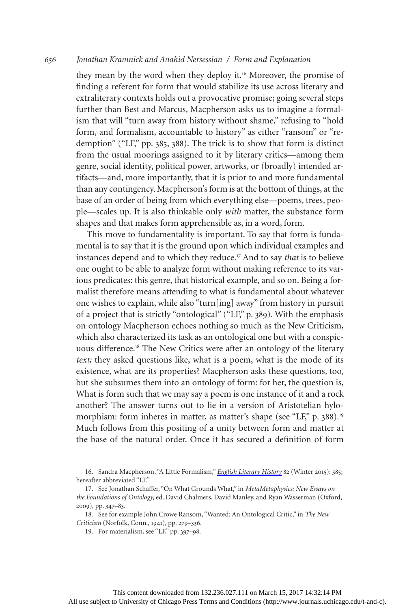they mean by the word when they deploy it.<sup>16</sup> Moreover, the promise of finding a referent for form that would stabilize its use across literary and extraliterary contexts holds out a provocative promise; going several steps further than Best and Marcus, Macpherson asks us to imagine a formalism that will "turn away from history without shame," refusing to "hold form, and formalism, accountable to history" as either "ransom" or "redemption" ("LF," pp. 385, 388). The trick is to show that form is distinct from the usual moorings assigned to it by literary critics—among them genre, social identity, political power, artworks, or (broadly) intended artifacts—and, more importantly, that it is prior to and more fundamental than any contingency. Macpherson's form is at the bottom of things, at the base of an order of being from which everything else—poems, trees, people—scales up. It is also thinkable only *with* matter, the substance form shapes and that makes form apprehensible as, in a word, form.

This move to fundamentality is important. To say that form is fundamental is to say that it is the ground upon which individual examples and instances depend and to which they reduce.<sup>17</sup> And to say *that* is to believe one ought to be able to analyze form without making reference to its various predicates: this genre, that historical example, and so on. Being a formalist therefore means attending to what is fundamental about whatever one wishes to explain, while also "turn[ing] away" from history in pursuit of a project that is strictly "ontological" ("LF," p. 389). With the emphasis on ontology Macpherson echoes nothing so much as the New Criticism, which also characterized its task as an ontological one but with a conspicuous difference.<sup>18</sup> The New Critics were after an ontology of the literary *text;* they asked questions like, what is a poem, what is the mode of its existence, what are its properties? Macpherson asks these questions, too, but she subsumes them into an ontology of form: for her, the question is, What is form such that we may say a poem is one instance of it and a rock another? The answer turns out to lie in a version of Aristotelian hylomorphism: form inheres in matter, as matter's shape (see "LF," p. 388).<sup>19</sup> Much follows from this positing of a unity between form and matter at the base of the natural order. Once it has secured a definition of form

18. See for example John Crowe Ransom, "Wanted: An Ontological Critic," in *The New Criticism* (Norfolk, Conn., 1941), pp. 279–336.

19. For materialism, see "LF," pp. 397–98.

<sup>16.</sup> Sandra Macpherson, "A Little Formalism," *[English Literary History](http://www.journals.uchicago.edu/action/showLinks?crossref=10.1353%2Felh.2015.0025)* 82 (Winter 2015): 385; hereafter abbreviated "LF."

<sup>17.</sup> See Jonathan Schaffer, "On What Grounds What," in *MetaMetaphysics: New Essays on the Foundations of Ontology,* ed. David Chalmers, David Manley, and Ryan Wasserman (Oxford, 2009), pp. 347–83.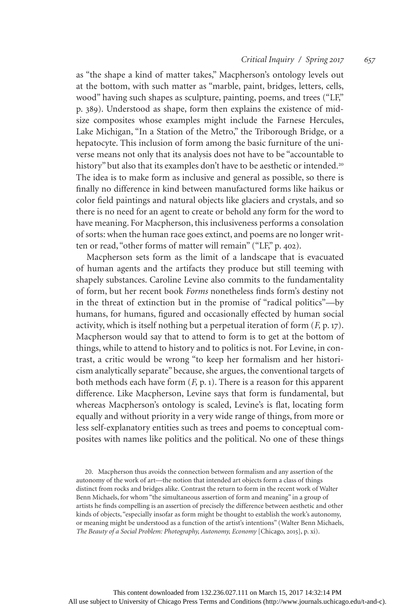as "the shape a kind of matter takes," Macpherson's ontology levels out at the bottom, with such matter as "marble, paint, bridges, letters, cells, wood" having such shapes as sculpture, painting, poems, and trees ("LF," p. 389). Understood as shape, form then explains the existence of midsize composites whose examples might include the Farnese Hercules, Lake Michigan, "In a Station of the Metro," the Triborough Bridge, or a hepatocyte. This inclusion of form among the basic furniture of the universe means not only that its analysis does not have to be "accountable to history" but also that its examples don't have to be aesthetic or intended.<sup>20</sup> The idea is to make form as inclusive and general as possible, so there is finally no difference in kind between manufactured forms like haikus or color field paintings and natural objects like glaciers and crystals, and so there is no need for an agent to create or behold any form for the word to have meaning. For Macpherson, this inclusiveness performs a consolation of sorts: when the human race goes extinct, and poems are no longer written or read, "other forms of matter will remain" ("LF," p. 402).

Macpherson sets form as the limit of a landscape that is evacuated of human agents and the artifacts they produce but still teeming with shapely substances. Caroline Levine also commits to the fundamentality of form, but her recent book *Forms* nonetheless finds form's destiny not in the threat of extinction but in the promise of "radical politics"—by humans, for humans, figured and occasionally effected by human social activity, which is itself nothing but a perpetual iteration of form (*F,* p. 17). Macpherson would say that to attend to form is to get at the bottom of things, while to attend to history and to politics is not. For Levine, in contrast, a critic would be wrong "to keep her formalism and her historicism analytically separate" because, she argues, the conventional targets of both methods each have form (*F,* p. 1). There is a reason for this apparent difference. Like Macpherson, Levine says that form is fundamental, but whereas Macpherson's ontology is scaled, Levine's is flat, locating form equally and without priority in a very wide range of things, from more or less self-explanatory entities such as trees and poems to conceptual composites with names like politics and the political. No one of these things

<sup>20.</sup> Macpherson thus avoids the connection between formalism and any assertion of the autonomy of the work of art—the notion that intended art objects form a class of things distinct from rocks and bridges alike. Contrast the return to form in the recent work of Walter Benn Michaels, for whom "the simultaneous assertion of form and meaning" in a group of artists he finds compelling is an assertion of precisely the difference between aesthetic and other kinds of objects, "especially insofar as form might be thought to establish the work's autonomy, or meaning might be understood as a function of the artist's intentions" (Walter Benn Michaels, *The Beauty of a Social Problem: Photography, Autonomy, Economy* [Chicago, 2015], p. xi).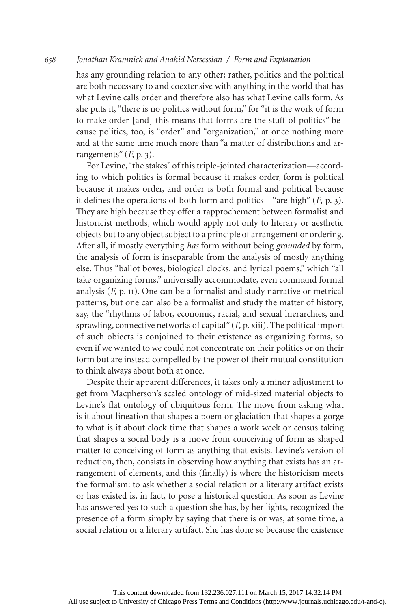has any grounding relation to any other; rather, politics and the political are both necessary to and coextensive with anything in the world that has what Levine calls order and therefore also has what Levine calls form. As she puts it, "there is no politics without form," for "it is the work of form to make order [and] this means that forms are the stuff of politics" because politics, too, is "order" and "organization," at once nothing more and at the same time much more than "a matter of distributions and arrangements" (*F,* p. 3).

For Levine, "the stakes" of this triple-jointed characterization—according to which politics is formal because it makes order, form is political because it makes order, and order is both formal and political because it defines the operations of both form and politics—"are high" (*F*, p. 3). They are high because they offer a rapprochement between formalist and historicist methods, which would apply not only to literary or aesthetic objects but to any object subject to a principle of arrangement or ordering. After all, if mostly everything *has* form without being *grounded* by form, the analysis of form is inseparable from the analysis of mostly anything else. Thus "ballot boxes, biological clocks, and lyrical poems," which "all take organizing forms," universally accommodate, even command formal analysis (*F,* p. 11). One can be a formalist and study narrative or metrical patterns, but one can also be a formalist and study the matter of history, say, the "rhythms of labor, economic, racial, and sexual hierarchies, and sprawling, connective networks of capital" (*F,* p. xiii). The political import of such objects is conjoined to their existence as organizing forms, so even if we wanted to we could not concentrate on their politics or on their form but are instead compelled by the power of their mutual constitution to think always about both at once.

Despite their apparent differences, it takes only a minor adjustment to get from Macpherson's scaled ontology of mid-sized material objects to Levine's flat ontology of ubiquitous form. The move from asking what is it about lineation that shapes a poem or glaciation that shapes a gorge to what is it about clock time that shapes a work week or census taking that shapes a social body is a move from conceiving of form as shaped matter to conceiving of form as anything that exists. Levine's version of reduction, then, consists in observing how anything that exists has an arrangement of elements, and this (finally) is where the historicism meets the formalism: to ask whether a social relation or a literary artifact exists or has existed is, in fact, to pose a historical question. As soon as Levine has answered yes to such a question she has, by her lights, recognized the presence of a form simply by saying that there is or was, at some time, a social relation or a literary artifact. She has done so because the existence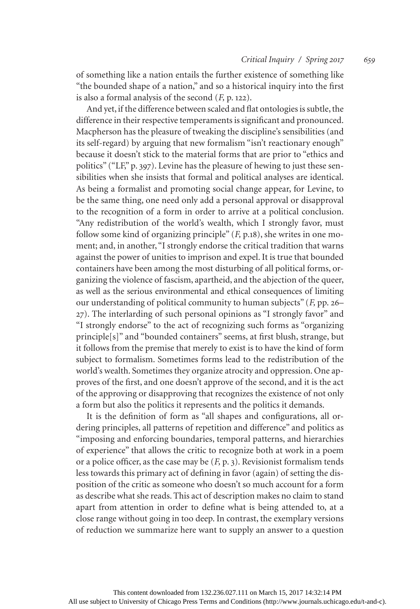of something like a nation entails the further existence of something like "the bounded shape of a nation," and so a historical inquiry into the first is also a formal analysis of the second (*F,* p. 122).

And yet, if the difference between scaled and flat ontologies is subtle, the difference in their respective temperaments is significant and pronounced. Macpherson has the pleasure of tweaking the discipline's sensibilities (and its self-regard) by arguing that new formalism "isn't reactionary enough" because it doesn't stick to the material forms that are prior to "ethics and politics" ("LF," p. 397). Levine has the pleasure of hewing to just these sensibilities when she insists that formal and political analyses are identical. As being a formalist and promoting social change appear, for Levine, to be the same thing, one need only add a personal approval or disapproval to the recognition of a form in order to arrive at a political conclusion. "Any redistribution of the world's wealth, which I strongly favor, must follow some kind of organizing principle" (*F,* p.18), she writes in one moment; and, in another, "I strongly endorse the critical tradition that warns against the power of unities to imprison and expel. It is true that bounded containers have been among the most disturbing of all political forms, organizing the violence of fascism, apartheid, and the abjection of the queer, as well as the serious environmental and ethical consequences of limiting our understanding of political community to human subjects" (*F,* pp. 26– 27). The interlarding of such personal opinions as "I strongly favor" and "I strongly endorse" to the act of recognizing such forms as "organizing principle[s]" and "bounded containers" seems, at first blush, strange, but it follows from the premise that merely to exist is to have the kind of form subject to formalism. Sometimes forms lead to the redistribution of the world's wealth. Sometimes they organize atrocity and oppression. One approves of the first, and one doesn't approve of the second, and it is the act of the approving or disapproving that recognizes the existence of not only a form but also the politics it represents and the politics it demands.

It is the definition of form as "all shapes and configurations, all ordering principles, all patterns of repetition and difference" and politics as "imposing and enforcing boundaries, temporal patterns, and hierarchies of experience" that allows the critic to recognize both at work in a poem or a police officer, as the case may be (*F,* p. 3). Revisionist formalism tends less towards this primary act of defining in favor (again) of setting the disposition of the critic as someone who doesn't so much account for a form as describe what she reads. This act of description makes no claim to stand apart from attention in order to define what is being attended to, at a close range without going in too deep. In contrast, the exemplary versions of reduction we summarize here want to supply an answer to a question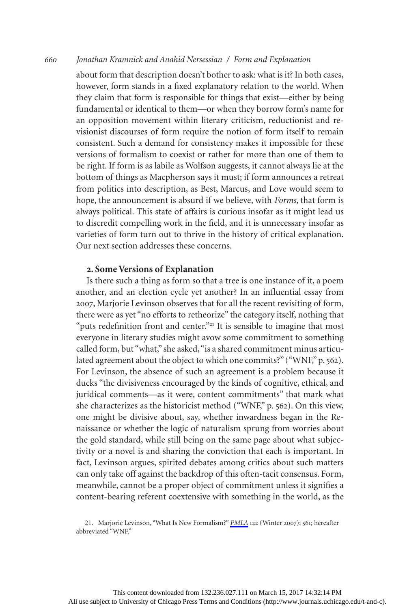about form that description doesn't bother to ask: what is it? In both cases, however, form stands in a fixed explanatory relation to the world. When they claim that form is responsible for things that exist—either by being fundamental or identical to them—or when they borrow form's name for an opposition movement within literary criticism, reductionist and revisionist discourses of form require the notion of form itself to remain consistent. Such a demand for consistency makes it impossible for these versions of formalism to coexist or rather for more than one of them to be right. If form is as labile as Wolfson suggests, it cannot always lie at the bottom of things as Macpherson says it must; if form announces a retreat from politics into description, as Best, Marcus, and Love would seem to hope, the announcement is absurd if we believe, with *Forms*, that form is always political. This state of affairs is curious insofar as it might lead us to discredit compelling work in the field, and it is unnecessary insofar as varieties of form turn out to thrive in the history of critical explanation. Our next section addresses these concerns.

#### **2. Some Versions of Explanation**

Is there such a thing as form so that a tree is one instance of it, a poem another, and an election cycle yet another? In an influential essay from 2007, Marjorie Levinson observes that for all the recent revisiting of form, there were as yet "no efforts to retheorize" the category itself, nothing that "puts redefinition front and center."<sup>21</sup> It is sensible to imagine that most everyone in literary studies might avow some commitment to something called form, but "what," she asked, "is a shared commitment minus articulated agreement about the object to which one commits?" ("WNF," p. 562). For Levinson, the absence of such an agreement is a problem because it ducks "the divisiveness encouraged by the kinds of cognitive, ethical, and juridical comments—as it were, content commitments" that mark what she characterizes as the historicist method ("WNF," p. 562). On this view, one might be divisive about, say, whether inwardness began in the Renaissance or whether the logic of naturalism sprung from worries about the gold standard, while still being on the same page about what subjectivity or a novel is and sharing the conviction that each is important. In fact, Levinson argues, spirited debates among critics about such matters can only take off against the backdrop of this often-tacit consensus. Form, meanwhile, cannot be a proper object of commitment unless it signifies a content-bearing referent coextensive with something in the world, as the

21. Marjorie Levinson, "What Is New Formalism?" *[PMLA](http://www.journals.uchicago.edu/action/showLinks?crossref=10.1632%2Fpmla.2007.122.2.558)* 122 (Winter 2007): 561; hereafter abbreviated "WNF."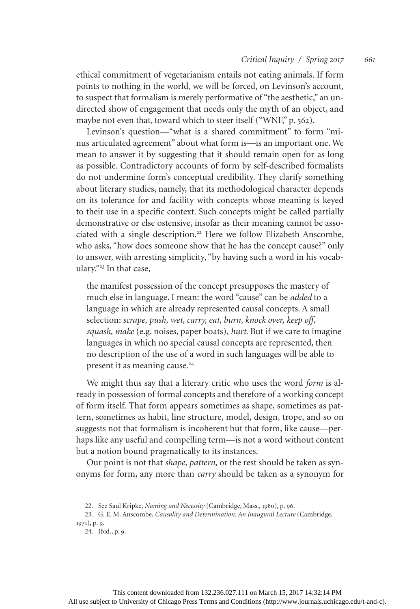ethical commitment of vegetarianism entails not eating animals. If form points to nothing in the world, we will be forced, on Levinson's account, to suspect that formalism is merely performative of "the aesthetic," an undirected show of engagement that needs only the myth of an object, and maybe not even that, toward which to steer itself ("WNF," p. 562).

Levinson's question—"what is a shared commitment" to form "minus articulated agreement" about what form is—is an important one. We mean to answer it by suggesting that it should remain open for as long as possible. Contradictory accounts of form by self-described formalists do not undermine form's conceptual credibility. They clarify something about literary studies, namely, that its methodological character depends on its tolerance for and facility with concepts whose meaning is keyed to their use in a specific context. Such concepts might be called partially demonstrative or else ostensive, insofar as their meaning cannot be associated with a single description.<sup>22</sup> Here we follow Elizabeth Anscombe, who asks, "how does someone show that he has the concept cause?" only to answer, with arresting simplicity, "by having such a word in his vocabulary."<sup>23</sup> In that case,

the manifest possession of the concept presupposes the mastery of much else in language. I mean: the word "cause" can be *added* to a language in which are already represented causal concepts. A small selection: *scrape, push, wet, carry, eat, burn, knock over, keep off, squash, make* (e.g. noises, paper boats), *hurt*. But if we care to imagine languages in which no special causal concepts are represented, then no description of the use of a word in such languages will be able to present it as meaning cause.<sup>24</sup>

We might thus say that a literary critic who uses the word *form* is already in possession of formal concepts and therefore of a working concept of form itself. That form appears sometimes as shape, sometimes as pattern, sometimes as habit, line structure, model, design, trope, and so on suggests not that formalism is incoherent but that form, like cause—perhaps like any useful and compelling term—is not a word without content but a notion bound pragmatically to its instances.

Our point is not that *shape, pattern,* or the rest should be taken as synonyms for form, any more than *carry* should be taken as a synonym for

<sup>22.</sup> See Saul Kripke, *Naming and Necessity* (Cambridge, Mass., 1980), p. 96.

<sup>23.</sup> G. E. M. Anscombe, *Causality and Determination: An Inaugural Lecture* (Cambridge,

<sup>1971</sup>), p. 9.

<sup>24.</sup> Ibid., p. 9.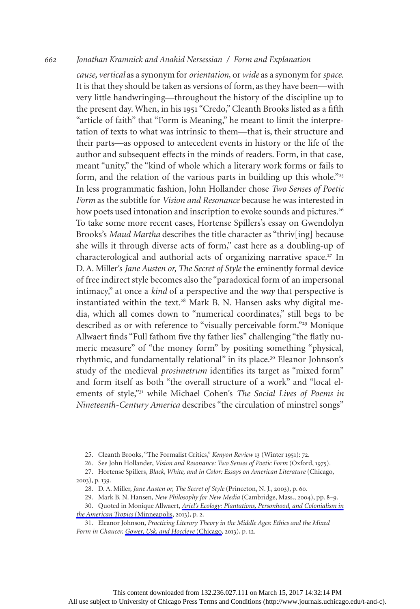*cause, vertical* as a synonym for *orientation,* or *wide* as a synonym for *space.* It is that they should be taken as versions of form, as they have been—with very little handwringing—throughout the history of the discipline up to the present day. When, in his 1951 "Credo," Cleanth Brooks listed as a fifth "article of faith" that "Form is Meaning," he meant to limit the interpretation of texts to what was intrinsic to them—that is, their structure and their parts—as opposed to antecedent events in history or the life of the author and subsequent effects in the minds of readers. Form, in that case, meant "unity," the "kind of whole which a literary work forms or fails to form, and the relation of the various parts in building up this whole."<sup>25</sup> In less programmatic fashion, John Hollander chose *Two Senses of Poetic Form* as the subtitle for *Vision and Resonance* because he was interested in how poets used intonation and inscription to evoke sounds and pictures.<sup>26</sup> To take some more recent cases, Hortense Spillers's essay on Gwendolyn Brooks's *Maud Martha* describes the title character as "thriv[ing] because she wills it through diverse acts of form," cast here as a doubling-up of characterological and authorial acts of organizing narrative space.<sup>27</sup> In D. A. Miller's *Jane Austen or, The Secret of Style* the eminently formal device of free indirect style becomes also the "paradoxical form of an impersonal intimacy," at once a *kind* of a perspective and the *way* that perspective is instantiated within the text.<sup>28</sup> Mark B. N. Hansen asks why digital media, which all comes down to "numerical coordinates," still begs to be described as or with reference to "visually perceivable form."<sup>29</sup> Monique Allwaert finds "Full fathom five thy father lies" challenging "the flatly numeric measure" of "the money form" by positing something "physical, rhythmic, and fundamentally relational" in its place.<sup>30</sup> Eleanor Johnson's study of the medieval *prosimetrum* identifies its target as "mixed form" and form itself as both "the overall structure of a work" and "local elements of style,"<sup>31</sup> while Michael Cohen's *The Social Lives of Poems in Nineteenth-Century America* describes "the circulation of minstrel songs"

30. Quoted in Monique Allwaert, *[Ariel's Ecology: Plantations, Personhood, and Colonialism in](http://www.journals.uchicago.edu/action/showLinks?crossref=10.5749%2Fminnesota%2F9780816677276.001.0001)  [the American Tropics](http://www.journals.uchicago.edu/action/showLinks?crossref=10.5749%2Fminnesota%2F9780816677276.001.0001)* (Minneapolis, 2013), p. 2.

<sup>25.</sup> Cleanth Brooks, "The Formalist Critics," *Kenyon Review* 13 (Winter 1951): 72.

<sup>26.</sup> See John Hollander, *Vision and Resonance: Two Senses of Poetic Form* (Oxford, 1975).

<sup>27.</sup> Hortense Spillers, *Black, White, and in Color: Essays on American Literature* (Chicago, 2003), p. 139.

<sup>28.</sup> D. A. Miller, *Jane Austen or, The Secret of Style* (Princeton, N. J., 2003), p. 60.

<sup>29.</sup> Mark B. N. Hansen, *New Philosophy for New Media* (Cambridge, Mass., 2004), pp. 8–9.

<sup>31.</sup> Eleanor Johnson, *Practicing Literary Theory in the Middle Ages: Ethics and the Mixed Form in Chaucer, [Gower, Usk, and Hoccleve](http://www.journals.uchicago.edu/action/showLinks?crossref=10.7208%2Fchicago%2F9780226015989.001.0001)* (Chicago, 2013), p. 12.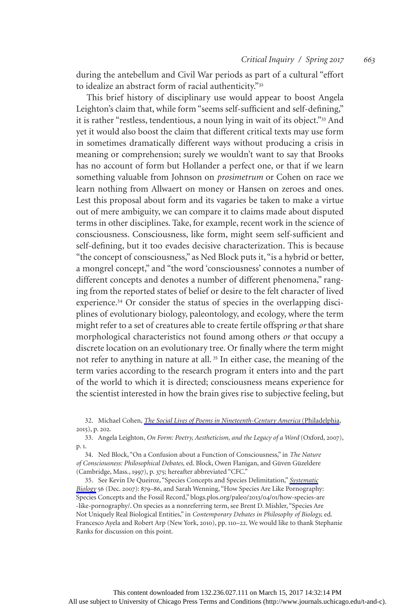during the antebellum and Civil War periods as part of a cultural "effort to idealize an abstract form of racial authenticity."32

This brief history of disciplinary use would appear to boost Angela Leighton's claim that, while form "seems self-sufficient and self-defining," it is rather "restless, tendentious, a noun lying in wait of its object."<sup>33</sup> And yet it would also boost the claim that different critical texts may use form in sometimes dramatically different ways without producing a crisis in meaning or comprehension; surely we wouldn't want to say that Brooks has no account of form but Hollander a perfect one, or that if we learn something valuable from Johnson on *prosimetrum* or Cohen on race we learn nothing from Allwaert on money or Hansen on zeroes and ones. Lest this proposal about form and its vagaries be taken to make a virtue out of mere ambiguity, we can compare it to claims made about disputed terms in other disciplines. Take, for example, recent work in the science of consciousness. Consciousness, like form, might seem self-sufficient and self-defining, but it too evades decisive characterization. This is because "the concept of consciousness," as Ned Block puts it, "is a hybrid or better, a mongrel concept," and "the word 'consciousness' connotes a number of different concepts and denotes a number of different phenomena," ranging from the reported states of belief or desire to the felt character of lived experience.<sup>34</sup> Or consider the status of species in the overlapping disciplines of evolutionary biology, paleontology, and ecology, where the term might refer to a set of creatures able to create fertile offspring *or* that share morphological characteristics not found among others *or* that occupy a discrete location on an evolutionary tree. Or finally where the term might not refer to anything in nature at all.<sup>35</sup> In either case, the meaning of the term varies according to the research program it enters into and the part of the world to which it is directed; consciousness means experience for the scientist interested in how the brain gives rise to subjective feeling, but

32. Michael Cohen, *[The Social Lives of Poems in Nineteenth-Century America](http://www.journals.uchicago.edu/action/showLinks?crossref=10.9783%2F9780812291315)* (Philadelphia, 2015), p. 202.

33. Angela Leighton, *On Form: Poetry, Aestheticism, and the Legacy of a Word* (Oxford, 2007), p. 1.

34. Ned Block, "On a Confusion about a Function of Consciousness," in *The Nature of Consciousness: Philosophical Debates,* ed. Block, Owen Flanigan, and Güven Güzeldere (Cambridge, Mass., 1997), p. 375; hereafter abbreviated "CFC."

35. See Kevin De Queiroz, "Species Concepts and Species Delimitation," *[Systematic](http://www.journals.uchicago.edu/action/showLinks?crossref=10.1080%2F10635150701701083)  [Biology](http://www.journals.uchicago.edu/action/showLinks?crossref=10.1080%2F10635150701701083)* 56 (Dec. 2007): 879–86, and Sarah Wenning, "How Species Are Like Pornography: Species Concepts and the Fossil Record," blogs.plos.org/paleo/2013/04/01/how-species-are -like-pornography/. On species as a nonreferring term, see Brent D. Mishler, "Species Are Not Uniquely Real Biological Entities," in *Contemporary Debates in Philosophy of Biology,* ed. Francesco Ayela and Robert Arp (New York, 2010), pp. 110–22. We would like to thank Stephanie Ranks for discussion on this point.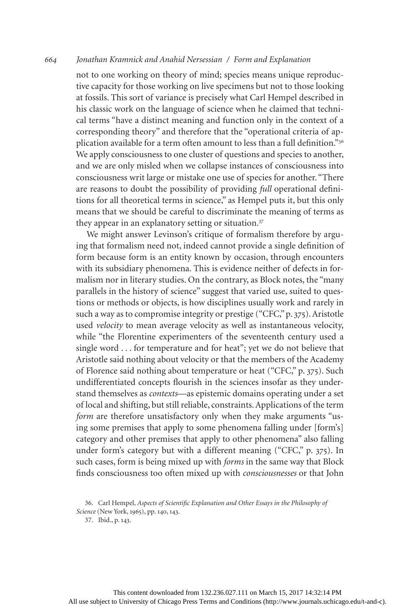not to one working on theory of mind; species means unique reproductive capacity for those working on live specimens but not to those looking at fossils. This sort of variance is precisely what Carl Hempel described in his classic work on the language of science when he claimed that technical terms "have a distinct meaning and function only in the context of a corresponding theory" and therefore that the "operational criteria of application available for a term often amount to less than a full definition."<sup>36</sup> We apply consciousness to one cluster of questions and species to another, and we are only misled when we collapse instances of consciousness into consciousness writ large or mistake one use of species for another. "There are reasons to doubt the possibility of providing *full* operational definitions for all theoretical terms in science," as Hempel puts it, but this only means that we should be careful to discriminate the meaning of terms as they appear in an explanatory setting or situation.<sup>37</sup>

We might answer Levinson's critique of formalism therefore by arguing that formalism need not, indeed cannot provide a single definition of form because form is an entity known by occasion, through encounters with its subsidiary phenomena. This is evidence neither of defects in formalism nor in literary studies. On the contrary, as Block notes, the "many parallels in the history of science" suggest that varied use, suited to questions or methods or objects, is how disciplines usually work and rarely in such a way as to compromise integrity or prestige ("CFC," p. 375). Aristotle used *velocity* to mean average velocity as well as instantaneous velocity, while "the Florentine experimenters of the seventeenth century used a single word . . . for temperature and for heat"; yet we do not believe that Aristotle said nothing about velocity or that the members of the Academy of Florence said nothing about temperature or heat ("CFC," p. 375). Such undifferentiated concepts flourish in the sciences insofar as they understand themselves as *contexts*—as epistemic domains operating under a set of local and shifting, but still reliable, constraints. Applications of the term *form* are therefore unsatisfactory only when they make arguments "using some premises that apply to some phenomena falling under [form's] category and other premises that apply to other phenomena" also falling under form's category but with a different meaning ("CFC," p. 375). In such cases, form is being mixed up with *forms* in the same way that Block finds consciousness too often mixed up with *consciousnesses* or that John

<sup>36.</sup> Carl Hempel, *Aspects of Scientific Explanation and Other Essays in the Philosophy of Science* (New York, 1965), pp. 140, 143.

<sup>37.</sup> Ibid., p. 143.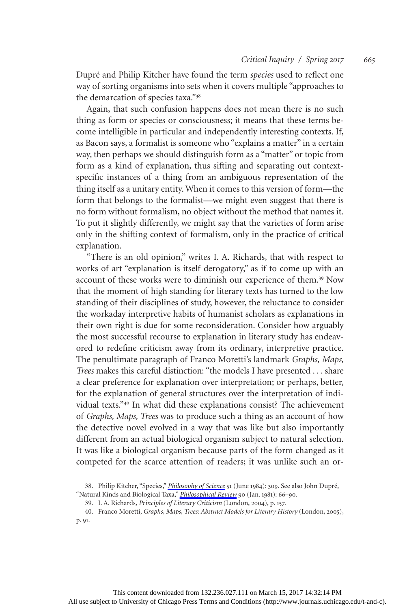Dupré and Philip Kitcher have found the term *species* used to reflect one way of sorting organisms into sets when it covers multiple "approaches to the demarcation of species taxa."<sup>38</sup>

Again, that such confusion happens does not mean there is no such thing as form or species or consciousness; it means that these terms become intelligible in particular and independently interesting contexts. If, as Bacon says, a formalist is someone who "explains a matter" in a certain way, then perhaps we should distinguish form as a "matter" or topic from form as a kind of explanation, thus sifting and separating out contextspecific instances of a thing from an ambiguous representation of the thing itself as a unitary entity. When it comes to this version of form—the form that belongs to the formalist—we might even suggest that there is no form without formalism, no object without the method that names it. To put it slightly differently, we might say that the varieties of form arise only in the shifting context of formalism, only in the practice of critical explanation.

"There is an old opinion," writes I. A. Richards, that with respect to works of art "explanation is itself derogatory," as if to come up with an account of these works were to diminish our experience of them.<sup>39</sup> Now that the moment of high standing for literary texts has turned to the low standing of their disciplines of study, however, the reluctance to consider the workaday interpretive habits of humanist scholars as explanations in their own right is due for some reconsideration. Consider how arguably the most successful recourse to explanation in literary study has endeavored to redefine criticism away from its ordinary, interpretive practice. The penultimate paragraph of Franco Moretti's landmark *Graphs, Maps, Trees* makes this careful distinction: "the models I have presented . . . share a clear preference for explanation over interpretation; or perhaps, better, for the explanation of general structures over the interpretation of individual texts."<sup>40</sup> In what did these explanations consist? The achievement of *Graphs, Maps, Trees* was to produce such a thing as an account of how the detective novel evolved in a way that was like but also importantly different from an actual biological organism subject to natural selection. It was like a biological organism because parts of the form changed as it competed for the scarce attention of readers; it was unlike such an or-

<sup>38.</sup> Philip Kitcher, "Species," *[Philosophy of Science](http://www.journals.uchicago.edu/action/showLinks?system=10.1086%2F289182)* 51 (June 1984): 309. See also John Dupré, "Natural Kinds and Biological Taxa," *[Philosophical Review](http://www.journals.uchicago.edu/action/showLinks?crossref=10.2307%2F2184373)* 90 (Jan. 1981): 66–90.

<sup>39.</sup> I. A. Richards*, Principles of Literary Criticism* (London, 2004), p. 157.

<sup>40.</sup> Franco Moretti, *Graphs, Maps, Trees: Abstract Models for Literary History* (London, 2005), p. 91.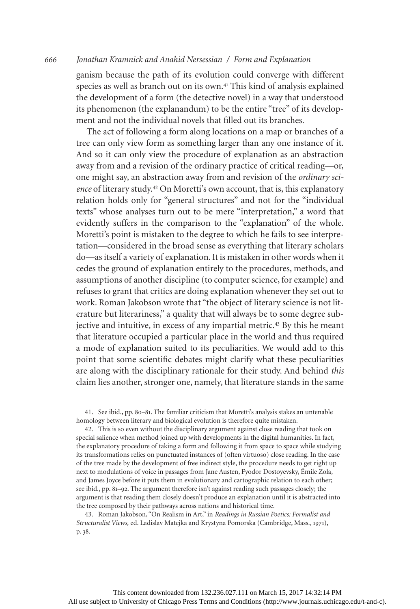ganism because the path of its evolution could converge with different species as well as branch out on its own.<sup>41</sup> This kind of analysis explained the development of a form (the detective novel) in a way that understood its phenomenon (the explanandum) to be the entire "tree" of its development and not the individual novels that filled out its branches.

The act of following a form along locations on a map or branches of a tree can only view form as something larger than any one instance of it. And so it can only view the procedure of explanation as an abstraction away from and a revision of the ordinary practice of critical reading—or, one might say, an abstraction away from and revision of the *ordinary science* of literary study.<sup>42</sup> On Moretti's own account, that is, this explanatory relation holds only for "general structures" and not for the "individual texts" whose analyses turn out to be mere "interpretation," a word that evidently suffers in the comparison to the "explanation" of the whole. Moretti's point is mistaken to the degree to which he fails to see interpretation—considered in the broad sense as everything that literary scholars do—as itself a variety of explanation. It is mistaken in other words when it cedes the ground of explanation entirely to the procedures, methods, and assumptions of another discipline (to computer science, for example) and refuses to grant that critics are doing explanation whenever they set out to work. Roman Jakobson wrote that "the object of literary science is not literature but literariness," a quality that will always be to some degree subjective and intuitive, in excess of any impartial metric.<sup>43</sup> By this he meant that literature occupied a particular place in the world and thus required a mode of explanation suited to its peculiarities. We would add to this point that some scientific debates might clarify what these peculiarities are along with the disciplinary rationale for their study. And behind *this* claim lies another, stronger one, namely, that literature stands in the same

41. See ibid., pp. 80–81. The familiar criticism that Moretti's analysis stakes an untenable homology between literary and biological evolution is therefore quite mistaken.

42. This is so even without the disciplinary argument against close reading that took on special salience when method joined up with developments in the digital humanities. In fact, the explanatory procedure of taking a form and following it from space to space while studying its transformations relies on punctuated instances of (often virtuoso) close reading. In the case of the tree made by the development of free indirect style, the procedure needs to get right up next to modulations of voice in passages from Jane Austen, Fyodor Dostoyevsky, Émile Zola, and James Joyce before it puts them in evolutionary and cartographic relation to each other; see ibid., pp. 81–92. The argument therefore isn't against reading such passages closely; the argument is that reading them closely doesn't produce an explanation until it is abstracted into the tree composed by their pathways across nations and historical time.

43. Roman Jakobson, "On Realism in Art," in *Readings in Russian Poetics: Formalist and Structuralist Views,* ed. Ladislav Matejka and Krystyna Pomorska (Cambridge, Mass., 1971), p. 38.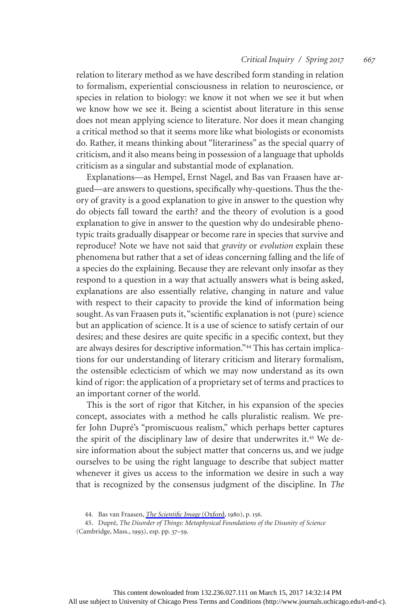## *Critical Inquiry / Spring 2017 667*

relation to literary method as we have described form standing in relation to formalism, experiential consciousness in relation to neuroscience, or species in relation to biology: we know it not when we see it but when we know how we see it. Being a scientist about literature in this sense does not mean applying science to literature. Nor does it mean changing a critical method so that it seems more like what biologists or economists do. Rather, it means thinking about "literariness" as the special quarry of criticism, and it also means being in possession of a language that upholds criticism as a singular and substantial mode of explanation.

Explanations—as Hempel, Ernst Nagel, and Bas van Fraasen have argued—are answers to questions, specifically why-questions. Thus the theory of gravity is a good explanation to give in answer to the question why do objects fall toward the earth? and the theory of evolution is a good explanation to give in answer to the question why do undesirable phenotypic traits gradually disappear or become rare in species that survive and reproduce? Note we have not said that *gravity* or *evolution* explain these phenomena but rather that a set of ideas concerning falling and the life of a species do the explaining. Because they are relevant only insofar as they respond to a question in a way that actually answers what is being asked, explanations are also essentially relative, changing in nature and value with respect to their capacity to provide the kind of information being sought. As van Fraasen puts it, "scientific explanation is not (pure) science but an application of science. It is a use of science to satisfy certain of our desires; and these desires are quite specific in a specific context, but they are always desires for descriptive information."44 This has certain implications for our understanding of literary criticism and literary formalism, the ostensible eclecticism of which we may now understand as its own kind of rigor: the application of a proprietary set of terms and practices to an important corner of the world.

This is the sort of rigor that Kitcher, in his expansion of the species concept, associates with a method he calls pluralistic realism. We prefer John Dupré's "promiscuous realism," which perhaps better captures the spirit of the disciplinary law of desire that underwrites it.<sup>45</sup> We desire information about the subject matter that concerns us, and we judge ourselves to be using the right language to describe that subject matter whenever it gives us access to the information we desire in such a way that is recognized by the consensus judgment of the discipline. In *The* 

<sup>44.</sup> Bas van Fraasen, *[The Scientific Image](http://www.journals.uchicago.edu/action/showLinks?crossref=10.1093%2F0198244274.001.0001)* (Oxford, 1980), p. 156.

<sup>45.</sup> Dupré, *The Disorder of Things: Metaphysical Foundations of the Disunity of Science* (Cambridge, Mass., 1993), esp. pp. 37–59.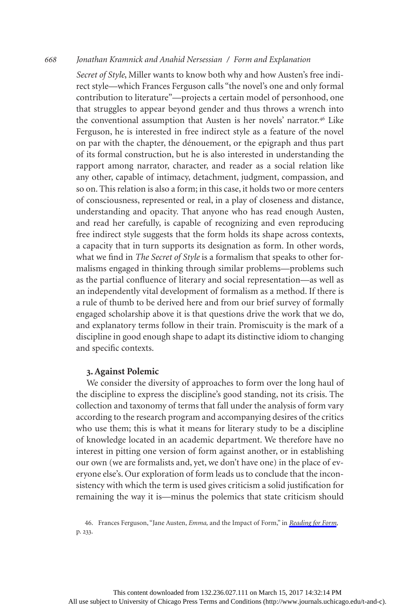*Secret of Style*, Miller wants to know both why and how Austen's free indirect style—which Frances Ferguson calls "the novel's one and only formal contribution to literature"—projects a certain model of personhood, one that struggles to appear beyond gender and thus throws a wrench into the conventional assumption that Austen is her novels' narrator.<sup>46</sup> Like Ferguson, he is interested in free indirect style as a feature of the novel on par with the chapter, the dénouement, or the epigraph and thus part of its formal construction, but he is also interested in understanding the rapport among narrator, character, and reader as a social relation like any other, capable of intimacy, detachment, judgment, compassion, and so on. This relation is also a form; in this case, it holds two or more centers of consciousness, represented or real, in a play of closeness and distance, understanding and opacity. That anyone who has read enough Austen, and read her carefully, is capable of recognizing and even reproducing free indirect style suggests that the form holds its shape across contexts, a capacity that in turn supports its designation as form. In other words, what we find in *The Secret of Style* is a formalism that speaks to other formalisms engaged in thinking through similar problems—problems such as the partial confluence of literary and social representation—as well as an independently vital development of formalism as a method. If there is a rule of thumb to be derived here and from our brief survey of formally engaged scholarship above it is that questions drive the work that we do, and explanatory terms follow in their train. Promiscuity is the mark of a discipline in good enough shape to adapt its distinctive idiom to changing and specific contexts.

#### **3. Against Polemic**

We consider the diversity of approaches to form over the long haul of the discipline to express the discipline's good standing, not its crisis. The collection and taxonomy of terms that fall under the analysis of form vary according to the research program and accompanying desires of the critics who use them; this is what it means for literary study to be a discipline of knowledge located in an academic department. We therefore have no interest in pitting one version of form against another, or in establishing our own (we are formalists and, yet, we don't have one) in the place of everyone else's. Our exploration of form leads us to conclude that the inconsistency with which the term is used gives criticism a solid justification for remaining the way it is—minus the polemics that state criticism should

46. Frances Ferguson, "Jane Austen, *Emma,* and the Impact of Form," in *[Reading for Form,](http://www.journals.uchicago.edu/action/showLinks?crossref=10.1215%2F00267929-61-1-157)* p. 233.